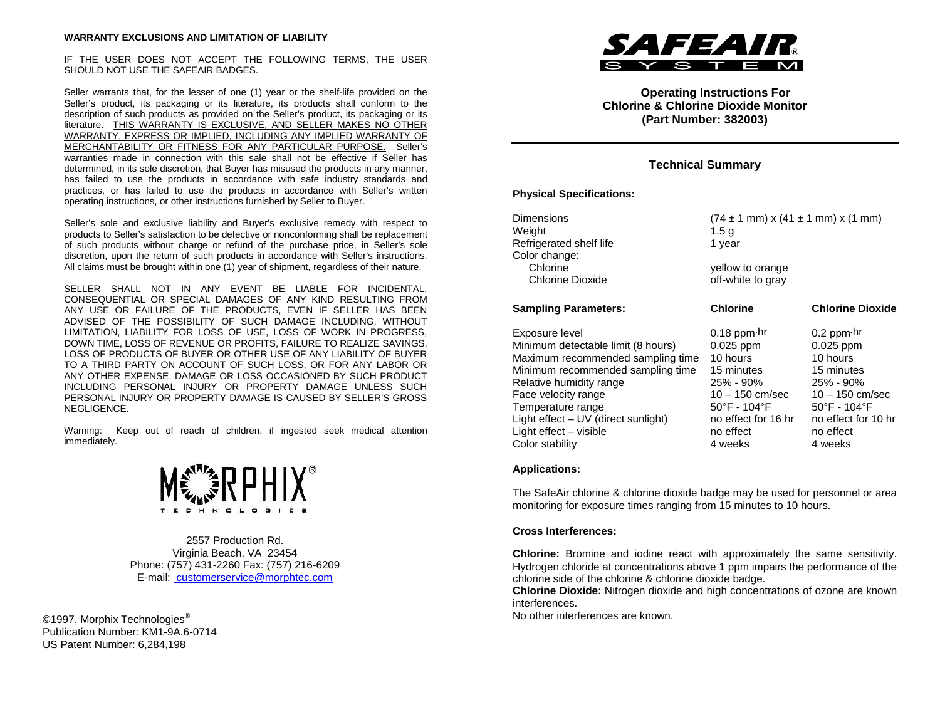IF THE USER DOES NOT ACCEPT THE FOLLOWING TERMS, THE USER SHOULD NOT USE THE SAFEAIR BADGES.

Seller warrants that, for the lesser of one (1) year or the shelf-life provided on the Seller's product, its packaging or its literature, its products shall conform to the description of such products as provided on the Seller's product, its packaging or its literature. THIS WARRANTY IS EXCLUSIVE, AND SELLER MAKES NO OTHER WARRANTY, EXPRESS OR IMPLIED, INCLUDING ANY IMPLIED WARRANTY OF MERCHANTABILITY OR FITNESS FOR ANY PARTICULAR PURPOSE. Seller's warranties made in connection with this sale shall not be effective if Seller has determined, in its sole discretion, that Buyer has misused the products in any manner, has failed to use the products in accordance with safe industry standards and practices, or has failed to use the products in accordance with Seller's written operating instructions, or other instructions furnished by Seller to Buyer.

Seller's sole and exclusive liability and Buyer's exclusive remedy with respect to products to Seller's satisfaction to be defective or nonconforming shall be replacement of such products without charge or refund of the purchase price, in Seller's sole discretion, upon the return of such products in accordance with Seller's instructions. All claims must be brought within one (1) year of shipment, regardless of their nature.

SELLER SHALL NOT IN ANY EVENT BE LIABLE FOR INCIDENTAL, CONSEQUENTIAL OR SPECIAL DAMAGES OF ANY KIND RESULTING FROM ANY USE OR FAILURE OF THE PRODUCTS, EVEN IF SELLER HAS BEEN ADVISED OF THE POSSIBILITY OF SUCH DAMAGE INCLUDING, WITHOUT LIMITATION, LIABILITY FOR LOSS OF USE, LOSS OF WORK IN PROGRESS, DOWN TIME, LOSS OF REVENUE OR PROFITS, FAILURE TO REALIZE SAVINGS, LOSS OF PRODUCTS OF BUYER OR OTHER USE OF ANY LIABILITY OF BUYER TO A THIRD PARTY ON ACCOUNT OF SUCH LOSS, OR FOR ANY LABOR OR ANY OTHER EXPENSE, DAMAGE OR LOSS OCCASIONED BY SUCH PRODUCT INCLUDING PERSONAL INJURY OR PROPERTY DAMAGE UNLESS SUCH PERSONAL INJURY OR PROPERTY DAMAGE IS CAUSED BY SELLER'S GROSS NEGLIGENCE.

Warning: Keep out of reach of children, if ingested seek medical attention immediately.



2557 Production Rd. Virginia Beach, VA 23454 Phone: (757) 431-2260 Fax: (757) 216-6209 E-mail: customerservice@morphtec.com

©1997, Morphix Technologies<sup>®</sup> Publication Number: KM1-9A.6-0714 US Patent Number: 6,284,198



**Operating Instructions For Chlorine & Chlorine Dioxide Monitor (Part Number: 382003)**

# **Technical Summary**

### **Physical Specifications:**

| Dimensions<br>Weight<br>Refrigerated shelf life<br>Color change:                                                                                                                                                                                                                          | $(74 \pm 1 \text{ mm}) \times (41 \pm 1 \text{ mm}) \times (1 \text{ mm})$<br>1.5 a<br>1 year                                                                 |                                                                                                                                                                                     |
|-------------------------------------------------------------------------------------------------------------------------------------------------------------------------------------------------------------------------------------------------------------------------------------------|---------------------------------------------------------------------------------------------------------------------------------------------------------------|-------------------------------------------------------------------------------------------------------------------------------------------------------------------------------------|
| Chlorine<br><b>Chlorine Dioxide</b>                                                                                                                                                                                                                                                       | yellow to orange<br>off-white to gray                                                                                                                         |                                                                                                                                                                                     |
| <b>Sampling Parameters:</b>                                                                                                                                                                                                                                                               | <b>Chlorine</b>                                                                                                                                               | <b>Chlorine Dioxide</b>                                                                                                                                                             |
| Exposure level<br>Minimum detectable limit (8 hours)<br>Maximum recommended sampling time<br>Minimum recommended sampling time<br>Relative humidity range<br>Face velocity range<br>Temperature range<br>Light effect – UV (direct sunlight)<br>Light effect - visible<br>Color stability | $0.18$ ppm $\cdot$ hr<br>$0.025$ ppm<br>10 hours<br>15 minutes<br>25% - 90%<br>10 – 150 cm/sec<br>50°F - 104°F<br>no effect for 16 hr<br>no effect<br>4 weeks | $0.2$ ppm $\cdot$ hr<br>$0.025$ ppm<br>10 hours<br>15 minutes<br>25% - 90%<br>$10 - 150$ cm/sec<br>$50^{\circ}$ F - 104 $^{\circ}$ F<br>no effect for 10 hr<br>no effect<br>4 weeks |

### **Applications:**

The SafeAir chlorine & chlorine dioxide badge may be used for personnel or area monitoring for exposure times ranging from 15 minutes to 10 hours.

### **Cross Interferences:**

**Chlorine:** Bromine and iodine react with approximately the same sensitivity. Hydrogen chloride at concentrations above 1 ppm impairs the performance of the chlorine side of the chlorine & chlorine dioxide badge.

**Chlorine Dioxide:** Nitrogen dioxide and high concentrations of ozone are known interferences.

No other interferences are known.